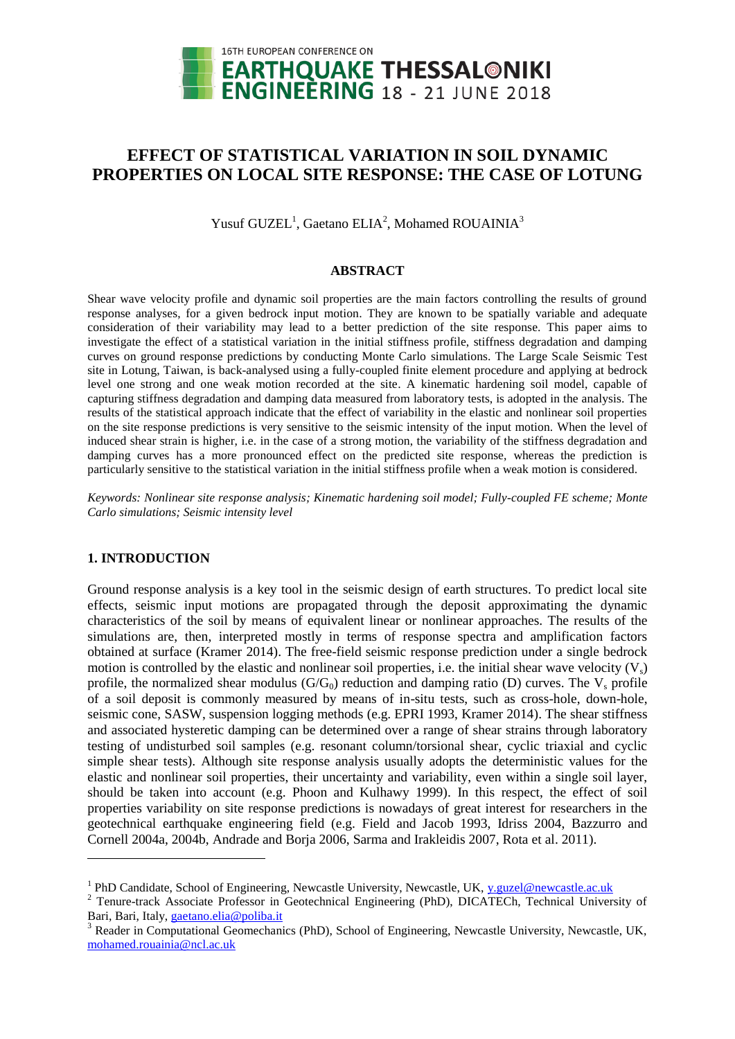

# **EFFECT OF STATISTICAL VARIATION IN SOIL DYNAMIC PROPERTIES ON LOCAL SITE RESPONSE: THE CASE OF LOTUNG**

Yusuf GUZEL<sup>1</sup>, Gaetano ELIA<sup>2</sup>, Mohamed ROUAINIA<sup>3</sup>

### **ABSTRACT**

Shear wave velocity profile and dynamic soil properties are the main factors controlling the results of ground response analyses, for a given bedrock input motion. They are known to be spatially variable and adequate consideration of their variability may lead to a better prediction of the site response. This paper aims to investigate the effect of a statistical variation in the initial stiffness profile, stiffness degradation and damping curves on ground response predictions by conducting Monte Carlo simulations. The Large Scale Seismic Test site in Lotung, Taiwan, is back-analysed using a fully-coupled finite element procedure and applying at bedrock level one strong and one weak motion recorded at the site. A kinematic hardening soil model, capable of capturing stiffness degradation and damping data measured from laboratory tests, is adopted in the analysis. The results of the statistical approach indicate that the effect of variability in the elastic and nonlinear soil properties on the site response predictions is very sensitive to the seismic intensity of the input motion. When the level of induced shear strain is higher, i.e. in the case of a strong motion, the variability of the stiffness degradation and damping curves has a more pronounced effect on the predicted site response, whereas the prediction is particularly sensitive to the statistical variation in the initial stiffness profile when a weak motion is considered.

*Keywords: Nonlinear site response analysis; Kinematic hardening soil model; Fully-coupled FE scheme; Monte Carlo simulations; Seismic intensity level*

# **1. INTRODUCTION**

l

Ground response analysis is a key tool in the seismic design of earth structures. To predict local site effects, seismic input motions are propagated through the deposit approximating the dynamic characteristics of the soil by means of equivalent linear or nonlinear approaches. The results of the simulations are, then, interpreted mostly in terms of response spectra and amplification factors obtained at surface (Kramer 2014). The free-field seismic response prediction under a single bedrock motion is controlled by the elastic and nonlinear soil properties, i.e. the initial shear wave velocity  $(V_s)$ profile, the normalized shear modulus  $(G/G_0)$  reduction and damping ratio (D) curves. The  $V_s$  profile of a soil deposit is commonly measured by means of in-situ tests, such as cross-hole, down-hole, seismic cone, SASW, suspension logging methods (e.g. EPRI 1993, Kramer 2014). The shear stiffness and associated hysteretic damping can be determined over a range of shear strains through laboratory testing of undisturbed soil samples (e.g. resonant column/torsional shear, cyclic triaxial and cyclic simple shear tests). Although site response analysis usually adopts the deterministic values for the elastic and nonlinear soil properties, their uncertainty and variability, even within a single soil layer, should be taken into account (e.g. Phoon and Kulhawy 1999). In this respect, the effect of soil properties variability on site response predictions is nowadays of great interest for researchers in the geotechnical earthquake engineering field (e.g. Field and Jacob 1993, Idriss 2004, Bazzurro and Cornell 2004a, 2004b, Andrade and Borja 2006, Sarma and Irakleidis 2007, Rota et al. 2011).

<sup>&</sup>lt;sup>1</sup> PhD Candidate, School of Engineering, Newcastle University, Newcastle, UK, y.guzel@newcastle.ac.uk

<sup>&</sup>lt;sup>2</sup> Tenure-track Associate Professor in Geotechnical Engineering (PhD), DICATECh, Technical University of Bari, Bari, Italy, gaetano.elia@poliba.it

<sup>&</sup>lt;sup>3</sup> Reader in Computational Geomechanics (PhD), School of Engineering, Newcastle University, Newcastle, UK, [mohamed.rouainia@ncl.ac.uk](mailto:mohamed.rouainia@ncl.ac.uk)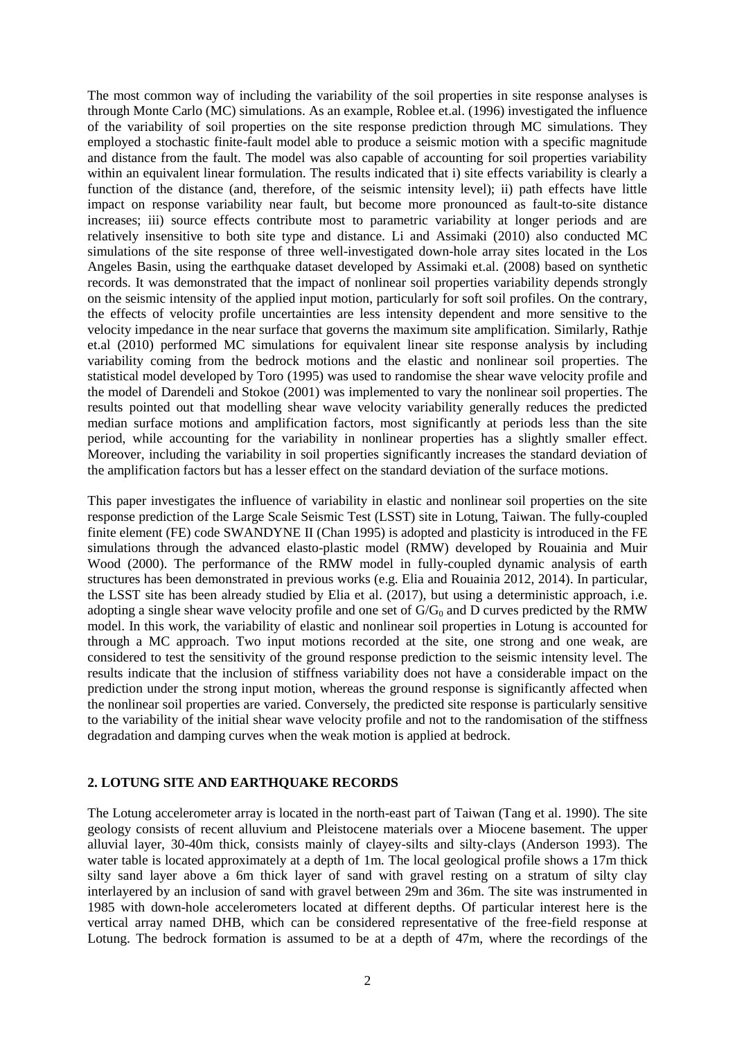The most common way of including the variability of the soil properties in site response analyses is through Monte Carlo (MC) simulations. As an example, Roblee et.al. (1996) investigated the influence of the variability of soil properties on the site response prediction through MC simulations. They employed a stochastic finite-fault model able to produce a seismic motion with a specific magnitude and distance from the fault. The model was also capable of accounting for soil properties variability within an equivalent linear formulation. The results indicated that i) site effects variability is clearly a function of the distance (and, therefore, of the seismic intensity level); ii) path effects have little impact on response variability near fault, but become more pronounced as fault-to-site distance increases; iii) source effects contribute most to parametric variability at longer periods and are relatively insensitive to both site type and distance. Li and Assimaki (2010) also conducted MC simulations of the site response of three well-investigated down-hole array sites located in the Los Angeles Basin, using the earthquake dataset developed by Assimaki et.al. (2008) based on synthetic records. It was demonstrated that the impact of nonlinear soil properties variability depends strongly on the seismic intensity of the applied input motion, particularly for soft soil profiles. On the contrary, the effects of velocity profile uncertainties are less intensity dependent and more sensitive to the velocity impedance in the near surface that governs the maximum site amplification. Similarly, Rathje et.al (2010) performed MC simulations for equivalent linear site response analysis by including variability coming from the bedrock motions and the elastic and nonlinear soil properties. The statistical model developed by Toro (1995) was used to randomise the shear wave velocity profile and the model of Darendeli and Stokoe (2001) was implemented to vary the nonlinear soil properties. The results pointed out that modelling shear wave velocity variability generally reduces the predicted median surface motions and amplification factors, most significantly at periods less than the site period, while accounting for the variability in nonlinear properties has a slightly smaller effect. Moreover, including the variability in soil properties significantly increases the standard deviation of the amplification factors but has a lesser effect on the standard deviation of the surface motions.

This paper investigates the influence of variability in elastic and nonlinear soil properties on the site response prediction of the Large Scale Seismic Test (LSST) site in Lotung, Taiwan. The fully-coupled finite element (FE) code SWANDYNE II (Chan 1995) is adopted and plasticity is introduced in the FE simulations through the advanced elasto-plastic model (RMW) developed by Rouainia and Muir Wood (2000). The performance of the RMW model in fully-coupled dynamic analysis of earth structures has been demonstrated in previous works (e.g. Elia and Rouainia 2012, 2014). In particular, the LSST site has been already studied by Elia et al. (2017), but using a deterministic approach, i.e. adopting a single shear wave velocity profile and one set of  $G/G_0$  and D curves predicted by the RMW model. In this work, the variability of elastic and nonlinear soil properties in Lotung is accounted for through a MC approach. Two input motions recorded at the site, one strong and one weak, are considered to test the sensitivity of the ground response prediction to the seismic intensity level. The results indicate that the inclusion of stiffness variability does not have a considerable impact on the prediction under the strong input motion, whereas the ground response is significantly affected when the nonlinear soil properties are varied. Conversely, the predicted site response is particularly sensitive to the variability of the initial shear wave velocity profile and not to the randomisation of the stiffness degradation and damping curves when the weak motion is applied at bedrock.

# **2. LOTUNG SITE AND EARTHQUAKE RECORDS**

The Lotung accelerometer array is located in the north-east part of Taiwan (Tang et al. 1990). The site geology consists of recent alluvium and Pleistocene materials over a Miocene basement. The upper alluvial layer, 30-40m thick, consists mainly of clayey-silts and silty-clays (Anderson 1993). The water table is located approximately at a depth of 1m. The local geological profile shows a 17m thick silty sand layer above a 6m thick layer of sand with gravel resting on a stratum of silty clay interlayered by an inclusion of sand with gravel between 29m and 36m. The site was instrumented in 1985 with down-hole accelerometers located at different depths. Of particular interest here is the vertical array named DHB, which can be considered representative of the free-field response at Lotung. The bedrock formation is assumed to be at a depth of 47m, where the recordings of the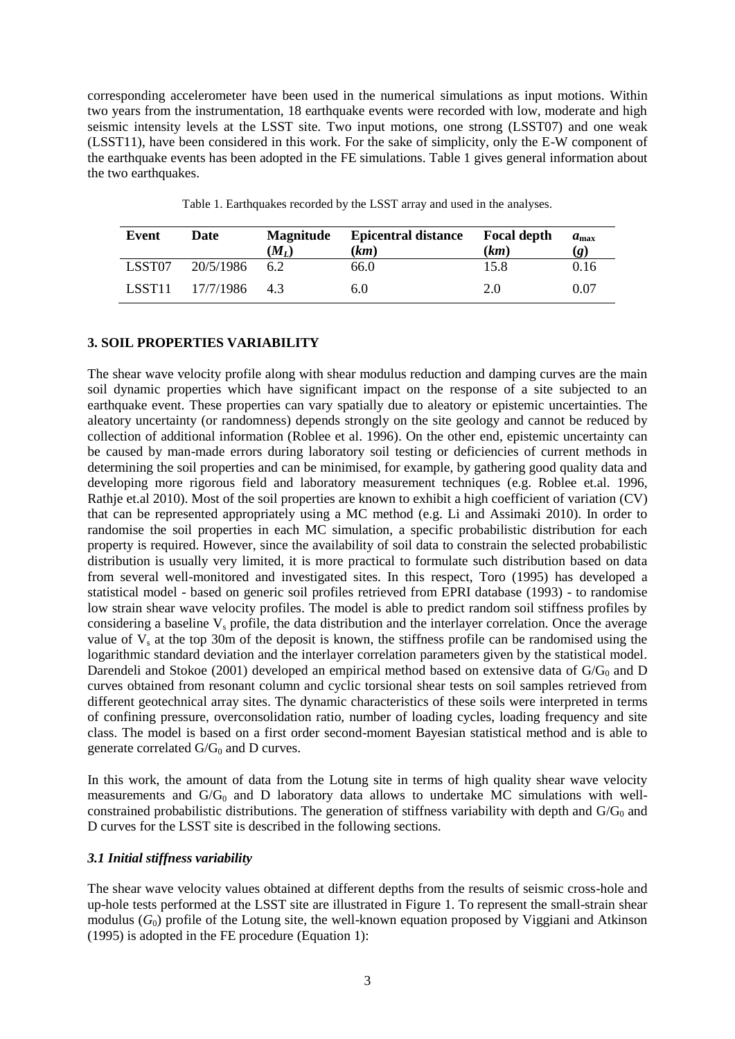corresponding accelerometer have been used in the numerical simulations as input motions. Within two years from the instrumentation, 18 earthquake events were recorded with low, moderate and high seismic intensity levels at the LSST site. Two input motions, one strong (LSST07) and one weak (LSST11), have been considered in this work. For the sake of simplicity, only the E-W component of the earthquake events has been adopted in the FE simulations. Table 1 gives general information about the two earthquakes.

| Event              | Date          | <b>Magnitude</b><br>$(M_L)$ | <b>Epicentral distance</b><br>(km) | <b>Focal depth</b><br>(km) | $a_{\text{max}}$<br>(g) |
|--------------------|---------------|-----------------------------|------------------------------------|----------------------------|-------------------------|
| LSST07             | 20/5/1986     | 62                          | 66.0                               | 15.8                       | 0.16                    |
| LSST <sub>11</sub> | 17/7/1986 4.3 |                             | 6.0                                | 2.0                        | 0.07                    |

Table 1. Earthquakes recorded by the LSST array and used in the analyses.

# **3. SOIL PROPERTIES VARIABILITY**

The shear wave velocity profile along with shear modulus reduction and damping curves are the main soil dynamic properties which have significant impact on the response of a site subjected to an earthquake event. These properties can vary spatially due to aleatory or epistemic uncertainties. The aleatory uncertainty (or randomness) depends strongly on the site geology and cannot be reduced by collection of additional information (Roblee et al. 1996). On the other end, epistemic uncertainty can be caused by man-made errors during laboratory soil testing or deficiencies of current methods in determining the soil properties and can be minimised, for example, by gathering good quality data and developing more rigorous field and laboratory measurement techniques (e.g. Roblee et.al. 1996, Rathje et.al 2010). Most of the soil properties are known to exhibit a high coefficient of variation (CV) that can be represented appropriately using a MC method (e.g. Li and Assimaki 2010). In order to randomise the soil properties in each MC simulation, a specific probabilistic distribution for each property is required. However, since the availability of soil data to constrain the selected probabilistic distribution is usually very limited, it is more practical to formulate such distribution based on data from several well-monitored and investigated sites. In this respect, Toro (1995) has developed a statistical model - based on generic soil profiles retrieved from EPRI database (1993) - to randomise low strain shear wave velocity profiles. The model is able to predict random soil stiffness profiles by considering a baseline  $V_s$  profile, the data distribution and the interlayer correlation. Once the average value of  $V_s$  at the top 30m of the deposit is known, the stiffness profile can be randomised using the logarithmic standard deviation and the interlayer correlation parameters given by the statistical model. Darendeli and Stokoe (2001) developed an empirical method based on extensive data of  $G/G_0$  and D curves obtained from resonant column and cyclic torsional shear tests on soil samples retrieved from different geotechnical array sites. The dynamic characteristics of these soils were interpreted in terms of confining pressure, overconsolidation ratio, number of loading cycles, loading frequency and site class. The model is based on a first order second-moment Bayesian statistical method and is able to generate correlated  $G/G_0$  and D curves.

In this work, the amount of data from the Lotung site in terms of high quality shear wave velocity measurements and  $G/G_0$  and D laboratory data allows to undertake MC simulations with wellconstrained probabilistic distributions. The generation of stiffness variability with depth and  $G/G_0$  and D curves for the LSST site is described in the following sections.

# *3.1 Initial stiffness variability*

The shear wave velocity values obtained at different depths from the results of seismic cross-hole and up-hole tests performed at the LSST site are illustrated in Figure 1. To represent the small-strain shear modulus (*G*0) profile of the Lotung site, the well-known equation proposed by Viggiani and Atkinson (1995) is adopted in the FE procedure (Equation 1):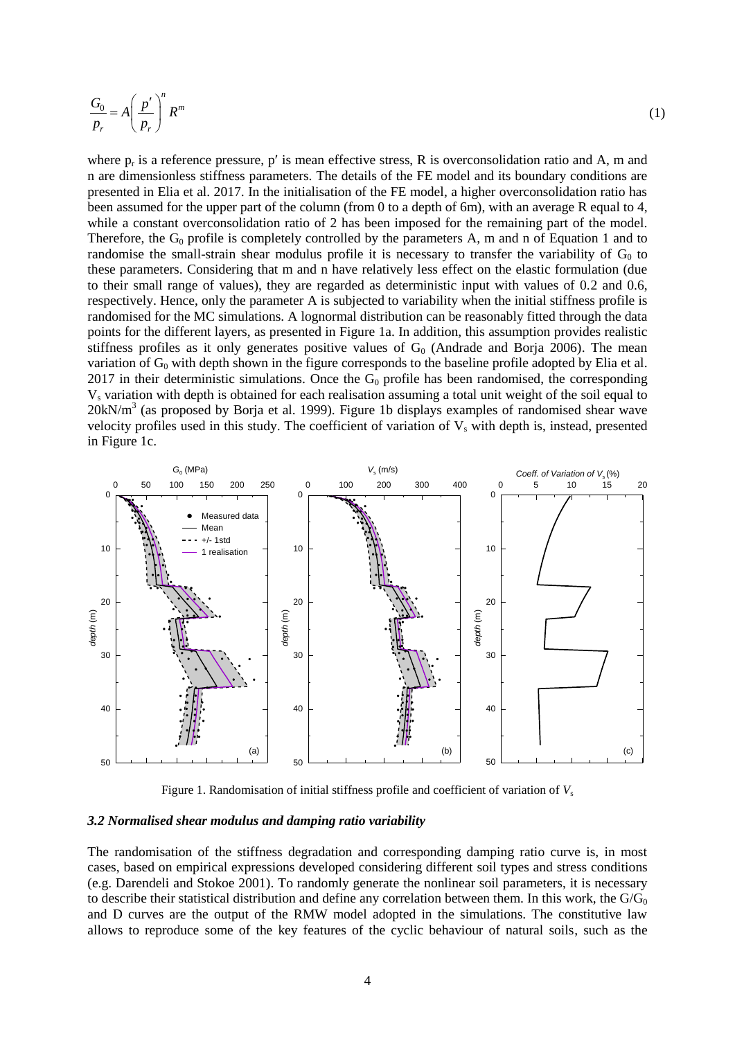$$
\frac{G_0}{p_r} = A \left(\frac{p'}{p_r}\right)^n R^m \tag{1}
$$

where  $p_r$  is a reference pressure, p' is mean effective stress, R is overconsolidation ratio and A, m and n are dimensionless stiffness parameters. The details of the FE model and its boundary conditions are presented in Elia et al. 2017. In the initialisation of the FE model, a higher overconsolidation ratio has been assumed for the upper part of the column (from 0 to a depth of 6m), with an average R equal to 4, while a constant overconsolidation ratio of 2 has been imposed for the remaining part of the model. Therefore, the  $G_0$  profile is completely controlled by the parameters A, m and n of Equation 1 and to randomise the small-strain shear modulus profile it is necessary to transfer the variability of  $G_0$  to these parameters. Considering that m and n have relatively less effect on the elastic formulation (due to their small range of values), they are regarded as deterministic input with values of 0.2 and 0.6, respectively. Hence, only the parameter A is subjected to variability when the initial stiffness profile is randomised for the MC simulations. A lognormal distribution can be reasonably fitted through the data points for the different layers, as presented in Figure 1a. In addition, this assumption provides realistic stiffness profiles as it only generates positive values of  $G_0$  (Andrade and Borja 2006). The mean variation of  $G_0$  with depth shown in the figure corresponds to the baseline profile adopted by Elia et al. 2017 in their deterministic simulations. Once the  $G_0$  profile has been randomised, the corresponding V<sup>s</sup> variation with depth is obtained for each realisation assuming a total unit weight of the soil equal to 20kN/m<sup>3</sup> (as proposed by Borja et al. 1999). Figure 1b displays examples of randomised shear wave velocity profiles used in this study. The coefficient of variation of  $V_s$  with depth is, instead, presented in Figure 1c.



Figure 1. Randomisation of initial stiffness profile and coefficient of variation of  $V<sub>s</sub>$ 

#### *3.2 Normalised shear modulus and damping ratio variability*

The randomisation of the stiffness degradation and corresponding damping ratio curve is, in most cases, based on empirical expressions developed considering different soil types and stress conditions (e.g. Darendeli and Stokoe 2001). To randomly generate the nonlinear soil parameters, it is necessary to describe their statistical distribution and define any correlation between them. In this work, the  $G/G_0$ and D curves are the output of the RMW model adopted in the simulations. The constitutive law allows to reproduce some of the key features of the cyclic behaviour of natural soils, such as the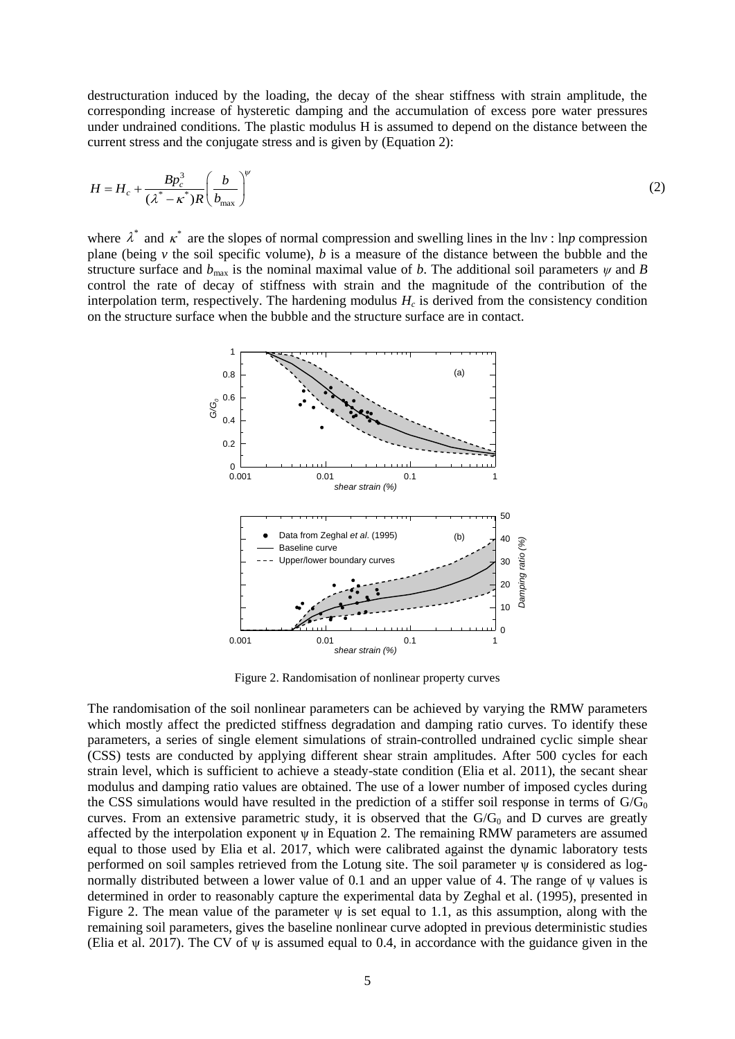destructuration induced by the loading, the decay of the shear stiffness with strain amplitude, the corresponding increase of hysteretic damping and the accumulation of excess pore water pressures under undrained conditions. The plastic modulus H is assumed to depend on the distance between the current stress and the conjugate stress and is given by (Equation 2):

$$
H = H_c + \frac{B p_c^3}{(\lambda^* - \kappa^*) R} \left(\frac{b}{b_{\text{max}}}\right)^{\nu}
$$
 (2)

where  $\lambda^*$  and  $\kappa^*$  are the slopes of normal compression and swelling lines in the lnv : lnp compression plane (being *v* the soil specific volume), *b* is a measure of the distance between the bubble and the structure surface and  $b_{\text{max}}$  is the nominal maximal value of *b*. The additional soil parameters  $\psi$  and *B* control the rate of decay of stiffness with strain and the magnitude of the contribution of the interpolation term, respectively. The hardening modulus  $H_c$  is derived from the consistency condition on the structure surface when the bubble and the structure surface are in contact.



Figure 2. Randomisation of nonlinear property curves

The randomisation of the soil nonlinear parameters can be achieved by varying the RMW parameters which mostly affect the predicted stiffness degradation and damping ratio curves. To identify these parameters, a series of single element simulations of strain-controlled undrained cyclic simple shear (CSS) tests are conducted by applying different shear strain amplitudes. After 500 cycles for each strain level, which is sufficient to achieve a steady-state condition (Elia et al. 2011), the secant shear modulus and damping ratio values are obtained. The use of a lower number of imposed cycles during the CSS simulations would have resulted in the prediction of a stiffer soil response in terms of  $G/G_0$ curves. From an extensive parametric study, it is observed that the  $G/G_0$  and D curves are greatly affected by the interpolation exponent ψ in Equation 2. The remaining RMW parameters are assumed equal to those used by Elia et al. 2017, which were calibrated against the dynamic laboratory tests performed on soil samples retrieved from the Lotung site. The soil parameter ψ is considered as lognormally distributed between a lower value of 0.1 and an upper value of 4. The range of ψ values is determined in order to reasonably capture the experimental data by Zeghal et al. (1995), presented in Figure 2. The mean value of the parameter  $\psi$  is set equal to 1.1, as this assumption, along with the remaining soil parameters, gives the baseline nonlinear curve adopted in previous deterministic studies (Elia et al. 2017). The CV of ψ is assumed equal to 0.4, in accordance with the guidance given in the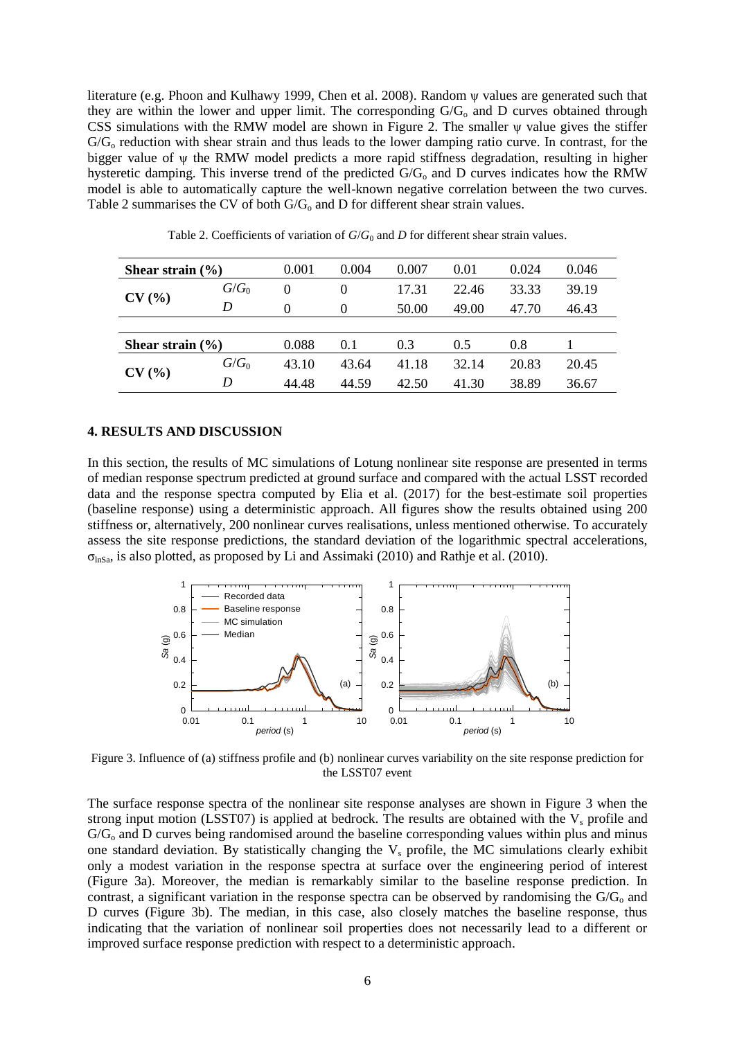literature (e.g. Phoon and Kulhawy 1999, Chen et al. 2008). Random ψ values are generated such that they are within the lower and upper limit. The corresponding  $G/G_0$  and D curves obtained through CSS simulations with the RMW model are shown in Figure 2. The smaller ψ value gives the stiffer G/G<sub>o</sub> reduction with shear strain and thus leads to the lower damping ratio curve. In contrast, for the bigger value of ψ the RMW model predicts a more rapid stiffness degradation, resulting in higher hysteretic damping. This inverse trend of the predicted G/G<sub>o</sub> and D curves indicates how the RMW model is able to automatically capture the well-known negative correlation between the two curves. Table 2 summarises the CV of both  $G/G_0$  and D for different shear strain values.

| Shear strain $(\% )$ |         | 0.001 | 0.004    | 0.007 | 0.01  | 0.024 | 0.046 |
|----------------------|---------|-------|----------|-------|-------|-------|-------|
| CV(%)                | $G/G_0$ | 0     | $\Omega$ | 17.31 | 22.46 | 33.33 | 39.19 |
|                      | D       | 0     | $\theta$ | 50.00 | 49.00 | 47.70 | 46.43 |
|                      |         |       |          |       |       |       |       |
| Shear strain $(\% )$ |         | 0.088 | 0.1      | 0.3   | 0.5   | 0.8   |       |
| CV(%)                | $G/G_0$ | 43.10 | 43.64    | 41.18 | 32.14 | 20.83 | 20.45 |
|                      | D       | 44.48 | 44.59    | 42.50 | 41.30 | 38.89 | 36.67 |

Table 2. Coefficients of variation of  $G/G_0$  and  $D$  for different shear strain values.

### **4. RESULTS AND DISCUSSION**

In this section, the results of MC simulations of Lotung nonlinear site response are presented in terms of median response spectrum predicted at ground surface and compared with the actual LSST recorded data and the response spectra computed by Elia et al. (2017) for the best-estimate soil properties (baseline response) using a deterministic approach. All figures show the results obtained using 200 stiffness or, alternatively, 200 nonlinear curves realisations, unless mentioned otherwise. To accurately assess the site response predictions, the standard deviation of the logarithmic spectral accelerations,  $\sigma_{\text{InSa}}$ , is also plotted, as proposed by Li and Assimaki (2010) and Rathje et al. (2010).



Figure 3. Influence of (a) stiffness profile and (b) nonlinear curves variability on the site response prediction for the LSST07 event

The surface response spectra of the nonlinear site response analyses are shown in Figure 3 when the strong input motion (LSST07) is applied at bedrock. The results are obtained with the  $V_s$  profile and  $G/G<sub>o</sub>$  and D curves being randomised around the baseline corresponding values within plus and minus one standard deviation. By statistically changing the  $V_s$  profile, the MC simulations clearly exhibit only a modest variation in the response spectra at surface over the engineering period of interest (Figure 3a). Moreover, the median is remarkably similar to the baseline response prediction. In contrast, a significant variation in the response spectra can be observed by randomising the  $G/G<sub>o</sub>$  and D curves (Figure 3b). The median, in this case, also closely matches the baseline response, thus indicating that the variation of nonlinear soil properties does not necessarily lead to a different or improved surface response prediction with respect to a deterministic approach.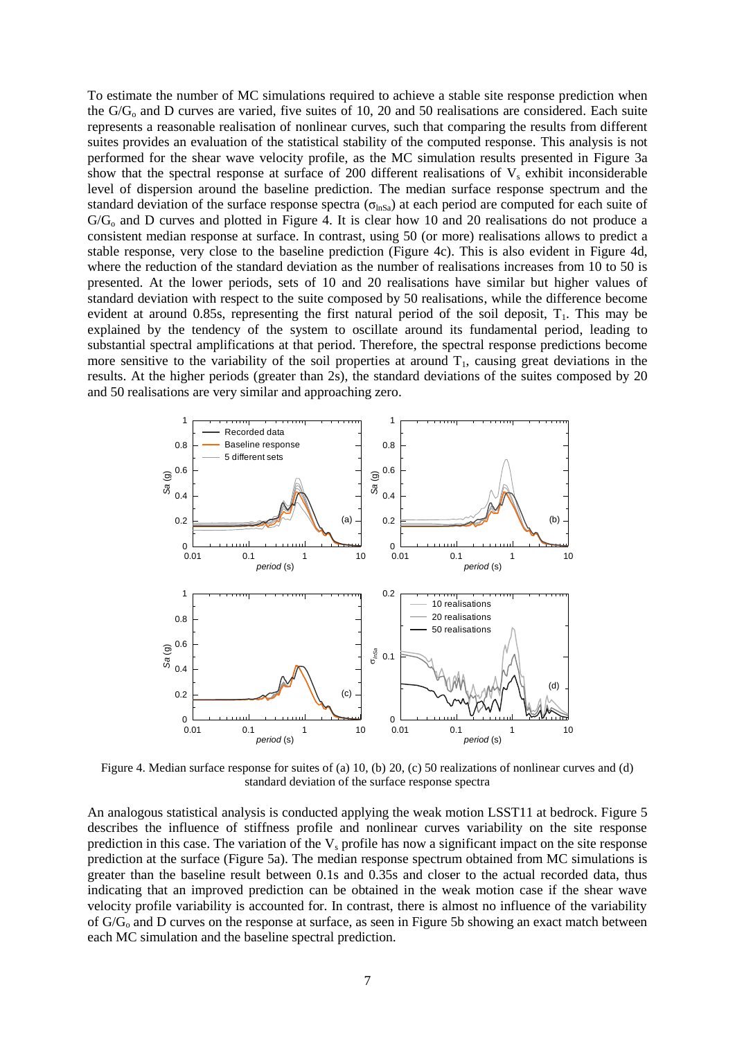To estimate the number of MC simulations required to achieve a stable site response prediction when the  $G/G<sub>o</sub>$  and D curves are varied, five suites of 10, 20 and 50 realisations are considered. Each suite represents a reasonable realisation of nonlinear curves, such that comparing the results from different suites provides an evaluation of the statistical stability of the computed response. This analysis is not performed for the shear wave velocity profile, as the MC simulation results presented in Figure 3a show that the spectral response at surface of 200 different realisations of  $V_s$  exhibit inconsiderable level of dispersion around the baseline prediction. The median surface response spectrum and the standard deviation of the surface response spectra ( $\sigma_{\text{lnSa}}$ ) at each period are computed for each suite of  $G/G<sub>o</sub>$  and D curves and plotted in Figure 4. It is clear how 10 and 20 realisations do not produce a consistent median response at surface. In contrast, using 50 (or more) realisations allows to predict a stable response, very close to the baseline prediction (Figure 4c). This is also evident in Figure 4d, where the reduction of the standard deviation as the number of realisations increases from 10 to 50 is presented. At the lower periods, sets of 10 and 20 realisations have similar but higher values of standard deviation with respect to the suite composed by 50 realisations, while the difference become evident at around 0.85s, representing the first natural period of the soil deposit,  $T_1$ . This may be explained by the tendency of the system to oscillate around its fundamental period, leading to substantial spectral amplifications at that period. Therefore, the spectral response predictions become more sensitive to the variability of the soil properties at around  $T_1$ , causing great deviations in the results. At the higher periods (greater than 2s), the standard deviations of the suites composed by 20 and 50 realisations are very similar and approaching zero.



Figure 4. Median surface response for suites of (a) 10, (b) 20, (c) 50 realizations of nonlinear curves and (d) standard deviation of the surface response spectra

An analogous statistical analysis is conducted applying the weak motion LSST11 at bedrock. Figure 5 describes the influence of stiffness profile and nonlinear curves variability on the site response prediction in this case. The variation of the  $V_s$  profile has now a significant impact on the site response prediction at the surface (Figure 5a). The median response spectrum obtained from MC simulations is greater than the baseline result between 0.1s and 0.35s and closer to the actual recorded data, thus indicating that an improved prediction can be obtained in the weak motion case if the shear wave velocity profile variability is accounted for. In contrast, there is almost no influence of the variability of  $G/G<sub>0</sub>$  and D curves on the response at surface, as seen in Figure 5b showing an exact match between each MC simulation and the baseline spectral prediction.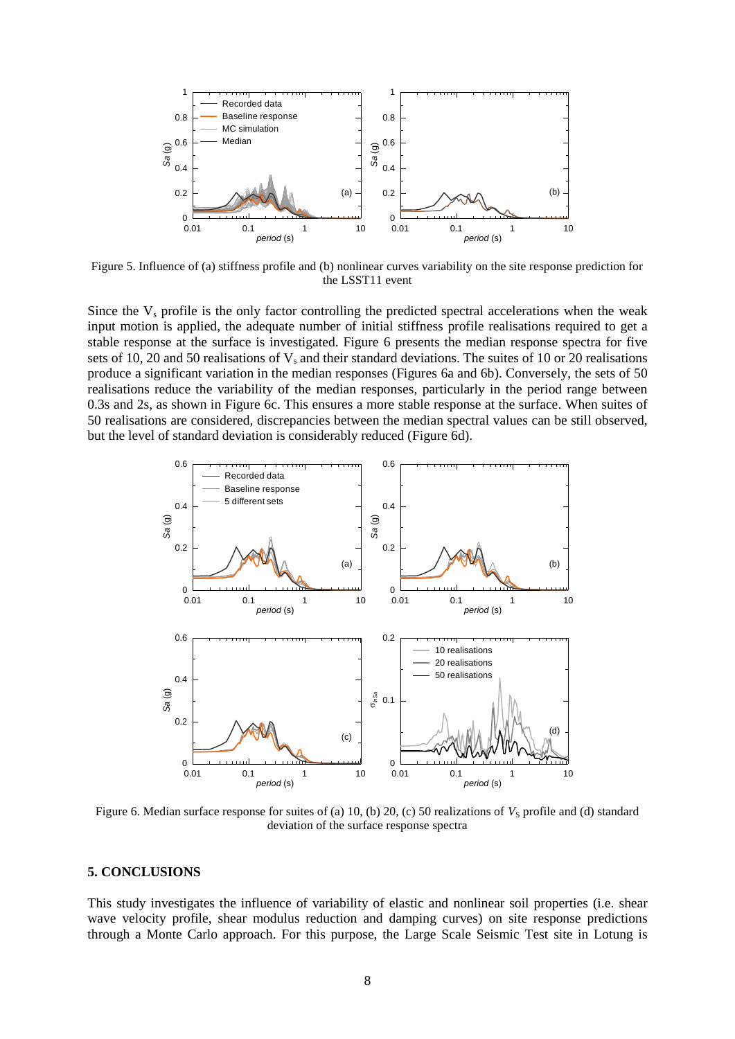

Figure 5. Influence of (a) stiffness profile and (b) nonlinear curves variability on the site response prediction for the LSST11 event

Since the  $V_s$  profile is the only factor controlling the predicted spectral accelerations when the weak input motion is applied, the adequate number of initial stiffness profile realisations required to get a stable response at the surface is investigated. Figure 6 presents the median response spectra for five sets of 10, 20 and 50 realisations of  $V_s$  and their standard deviations. The suites of 10 or 20 realisations produce a significant variation in the median responses (Figures 6a and 6b). Conversely, the sets of 50 realisations reduce the variability of the median responses, particularly in the period range between 0.3s and 2s, as shown in Figure 6c. This ensures a more stable response at the surface. When suites of 50 realisations are considered, discrepancies between the median spectral values can be still observed, but the level of standard deviation is considerably reduced (Figure 6d).



Figure 6. Median surface response for suites of (a) 10, (b) 20, (c) 50 realizations of  $V<sub>S</sub>$  profile and (d) standard deviation of the surface response spectra

#### **5. CONCLUSIONS**

This study investigates the influence of variability of elastic and nonlinear soil properties (i.e. shear wave velocity profile, shear modulus reduction and damping curves) on site response predictions through a Monte Carlo approach. For this purpose, the Large Scale Seismic Test site in Lotung is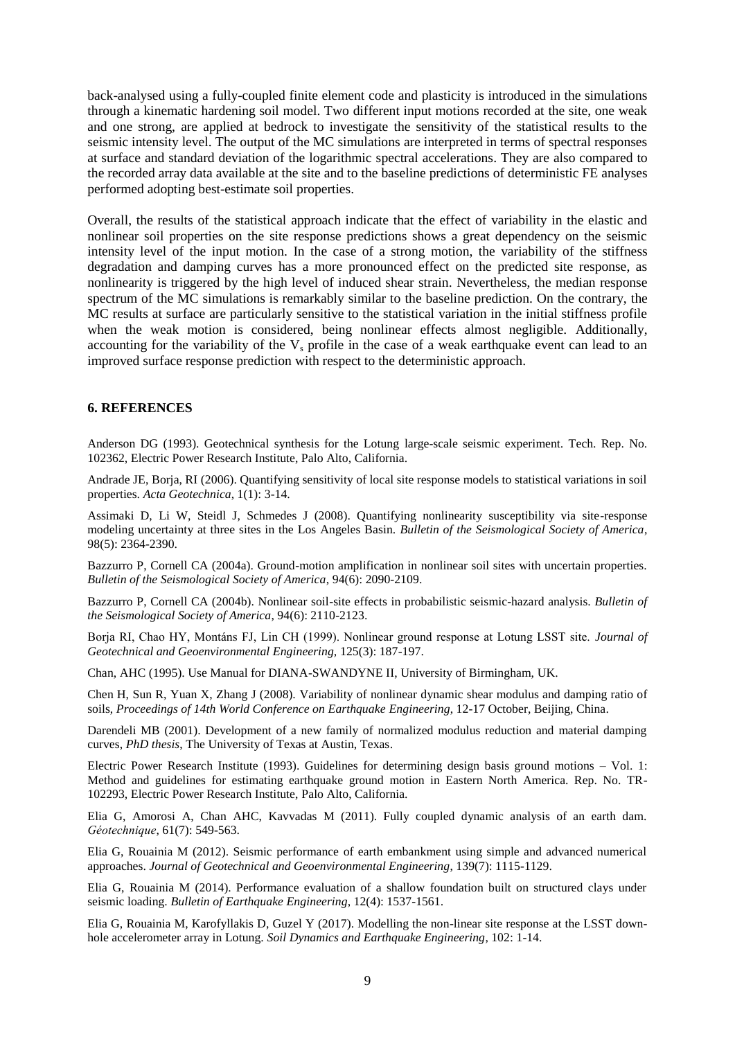back-analysed using a fully-coupled finite element code and plasticity is introduced in the simulations through a kinematic hardening soil model. Two different input motions recorded at the site, one weak and one strong, are applied at bedrock to investigate the sensitivity of the statistical results to the seismic intensity level. The output of the MC simulations are interpreted in terms of spectral responses at surface and standard deviation of the logarithmic spectral accelerations. They are also compared to the recorded array data available at the site and to the baseline predictions of deterministic FE analyses performed adopting best-estimate soil properties.

Overall, the results of the statistical approach indicate that the effect of variability in the elastic and nonlinear soil properties on the site response predictions shows a great dependency on the seismic intensity level of the input motion. In the case of a strong motion, the variability of the stiffness degradation and damping curves has a more pronounced effect on the predicted site response, as nonlinearity is triggered by the high level of induced shear strain. Nevertheless, the median response spectrum of the MC simulations is remarkably similar to the baseline prediction. On the contrary, the MC results at surface are particularly sensitive to the statistical variation in the initial stiffness profile when the weak motion is considered, being nonlinear effects almost negligible. Additionally, accounting for the variability of the  $V_s$  profile in the case of a weak earthquake event can lead to an improved surface response prediction with respect to the deterministic approach.

#### **6. REFERENCES**

Anderson DG (1993). Geotechnical synthesis for the Lotung large-scale seismic experiment. Tech. Rep. No. 102362, Electric Power Research Institute, Palo Alto, California.

Andrade JE, Borja, RI (2006). Quantifying sensitivity of local site response models to statistical variations in soil properties. *Acta Geotechnica*, 1(1): 3-14.

Assimaki D, Li W, Steidl J, Schmedes J (2008). Quantifying nonlinearity susceptibility via site-response modeling uncertainty at three sites in the Los Angeles Basin. *Bulletin of the Seismological Society of America*, 98(5): 2364-2390.

Bazzurro P, Cornell CA (2004a). Ground-motion amplification in nonlinear soil sites with uncertain properties. *Bulletin of the Seismological Society of America*, 94(6): 2090-2109.

Bazzurro P, Cornell CA (2004b). Nonlinear soil-site effects in probabilistic seismic-hazard analysis. *Bulletin of the Seismological Society of America*, 94(6): 2110-2123.

Borja RI, Chao HY, Montáns FJ, Lin CH (1999). Nonlinear ground response at Lotung LSST site. *Journal of Geotechnical and Geoenvironmental Engineering,* 125(3): 187-197.

Chan, AHC (1995). Use Manual for DIANA-SWANDYNE II, University of Birmingham, UK.

Chen H, Sun R, Yuan X, Zhang J (2008). Variability of nonlinear dynamic shear modulus and damping ratio of soils, *Proceedings of 14th World Conference on Earthquake Engineering*, 12-17 October, Beijing, China.

Darendeli MB (2001). Development of a new family of normalized modulus reduction and material damping curves, *PhD thesis*, The University of Texas at Austin, Texas.

Electric Power Research Institute (1993). Guidelines for determining design basis ground motions – Vol. 1: Method and guidelines for estimating earthquake ground motion in Eastern North America. Rep. No. TR-102293, Electric Power Research Institute, Palo Alto, California.

Elia G, Amorosi A, Chan AHC, Kavvadas M (2011). Fully coupled dynamic analysis of an earth dam. *Géotechnique*, 61(7): 549-563.

Elia G, Rouainia M (2012). Seismic performance of earth embankment using simple and advanced numerical approaches. *Journal of Geotechnical and Geoenvironmental Engineering*, 139(7): 1115-1129.

Elia G, Rouainia M (2014). Performance evaluation of a shallow foundation built on structured clays under seismic loading. *Bulletin of Earthquake Engineering*, 12(4): 1537-1561.

Elia G, Rouainia M, Karofyllakis D, Guzel Y (2017). Modelling the non-linear site response at the LSST downhole accelerometer array in Lotung. *Soil Dynamics and Earthquake Engineering*, 102: 1-14.